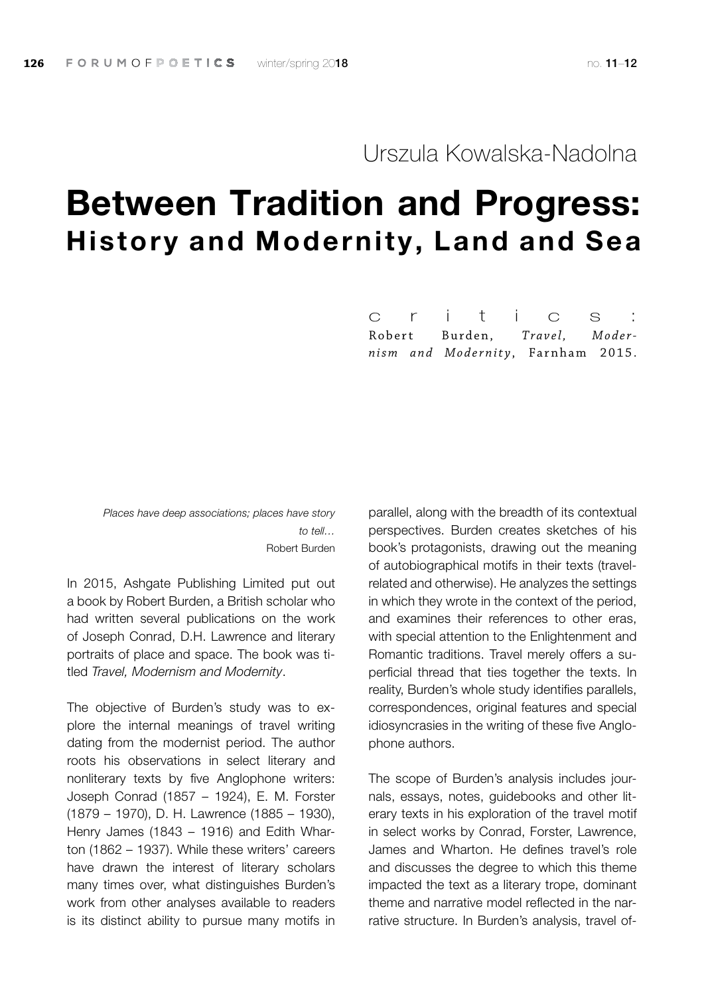## Urszula Kowalska-Nadolna

# Between Tradition and Progress: History and Modernity, Land and Sea

Robert Burden, *Travel, Modernism and Modernity* , Farnham 2015. c r i t i c s :

*Places have deep associations; places have story to tell…* Robert Burden

In 2015, Ashgate Publishing Limited put out a book by Robert Burden, a British scholar who had written several publications on the work of Joseph Conrad, D.H. Lawrence and literary portraits of place and space. The book was titled *Travel, Modernism and Modernity*.

The objective of Burden's study was to explore the internal meanings of travel writing dating from the modernist period. The author roots his observations in select literary and nonliterary texts by five Anglophone writers: Joseph Conrad (1857 – 1924), E. M. Forster (1879 – 1970), D. H. Lawrence (1885 – 1930), Henry James (1843 – 1916) and Edith Wharton (1862 – 1937). While these writers' careers have drawn the interest of literary scholars many times over, what distinguishes Burden's work from other analyses available to readers is its distinct ability to pursue many motifs in

parallel, along with the breadth of its contextual perspectives. Burden creates sketches of his book's protagonists, drawing out the meaning of autobiographical motifs in their texts (travelrelated and otherwise). He analyzes the settings in which they wrote in the context of the period, and examines their references to other eras, with special attention to the Enlightenment and Romantic traditions. Travel merely offers a superficial thread that ties together the texts. In reality, Burden's whole study identifies parallels, correspondences, original features and special idiosyncrasies in the writing of these five Anglophone authors.

The scope of Burden's analysis includes journals, essays, notes, guidebooks and other literary texts in his exploration of the travel motif in select works by Conrad, Forster, Lawrence, James and Wharton. He defines travel's role and discusses the degree to which this theme impacted the text as a literary trope, dominant theme and narrative model reflected in the narrative structure. In Burden's analysis, travel of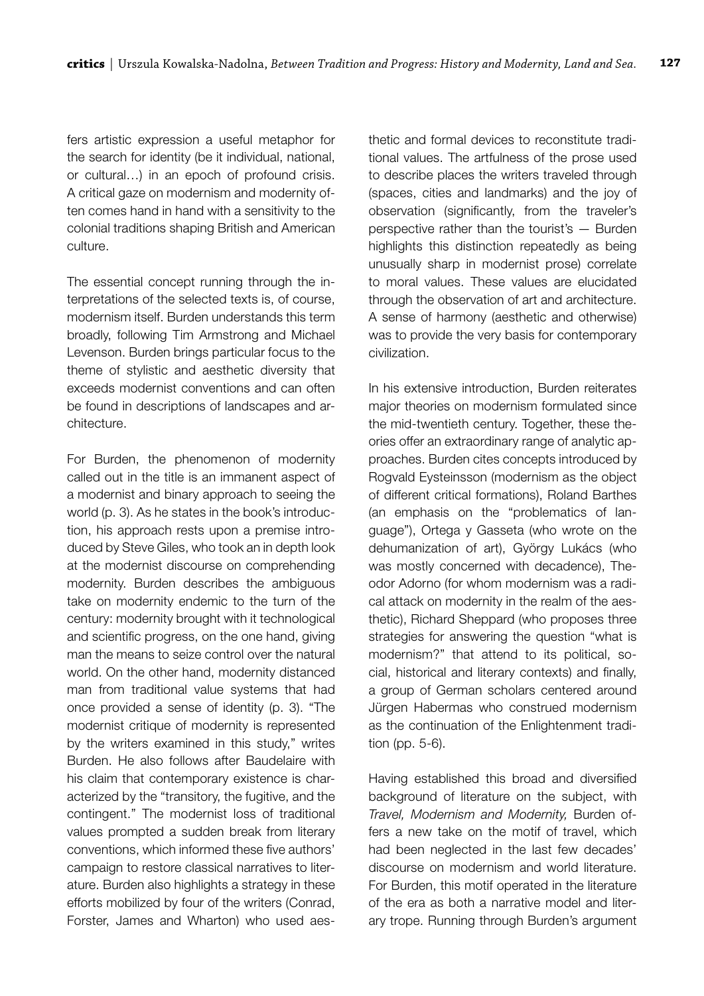fers artistic expression a useful metaphor for the search for identity (be it individual, national, or cultural…) in an epoch of profound crisis. A critical gaze on modernism and modernity often comes hand in hand with a sensitivity to the colonial traditions shaping British and American culture.

The essential concept running through the interpretations of the selected texts is, of course, modernism itself. Burden understands this term broadly, following Tim Armstrong and Michael Levenson. Burden brings particular focus to the theme of stylistic and aesthetic diversity that exceeds modernist conventions and can often be found in descriptions of landscapes and architecture.

For Burden, the phenomenon of modernity called out in the title is an immanent aspect of a modernist and binary approach to seeing the world (p. 3). As he states in the book's introduction, his approach rests upon a premise introduced by Steve Giles, who took an in depth look at the modernist discourse on comprehending modernity. Burden describes the ambiguous take on modernity endemic to the turn of the century: modernity brought with it technological and scientific progress, on the one hand, giving man the means to seize control over the natural world. On the other hand, modernity distanced man from traditional value systems that had once provided a sense of identity (p. 3). "The modernist critique of modernity is represented by the writers examined in this study," writes Burden. He also follows after Baudelaire with his claim that contemporary existence is characterized by the "transitory, the fugitive, and the contingent." The modernist loss of traditional values prompted a sudden break from literary conventions, which informed these five authors' campaign to restore classical narratives to literature. Burden also highlights a strategy in these efforts mobilized by four of the writers (Conrad, Forster, James and Wharton) who used aesthetic and formal devices to reconstitute traditional values. The artfulness of the prose used to describe places the writers traveled through (spaces, cities and landmarks) and the joy of observation (significantly, from the traveler's perspective rather than the tourist's — Burden highlights this distinction repeatedly as being unusually sharp in modernist prose) correlate to moral values. These values are elucidated through the observation of art and architecture. A sense of harmony (aesthetic and otherwise) was to provide the very basis for contemporary civilization.

In his extensive introduction, Burden reiterates major theories on modernism formulated since the mid-twentieth century. Together, these theories offer an extraordinary range of analytic approaches. Burden cites concepts introduced by Rogvald Eysteinsson (modernism as the object of different critical formations), Roland Barthes (an emphasis on the "problematics of language"), Ortega y Gasseta (who wrote on the dehumanization of art), György Lukács (who was mostly concerned with decadence), Theodor Adorno (for whom modernism was a radical attack on modernity in the realm of the aesthetic), Richard Sheppard (who proposes three strategies for answering the question "what is modernism?" that attend to its political, social, historical and literary contexts) and finally, a group of German scholars centered around Jürgen Habermas who construed modernism as the continuation of the Enlightenment tradition (pp. 5-6).

Having established this broad and diversified background of literature on the subject, with *Travel, Modernism and Modernity,* Burden offers a new take on the motif of travel, which had been neglected in the last few decades' discourse on modernism and world literature. For Burden, this motif operated in the literature of the era as both a narrative model and literary trope. Running through Burden's argument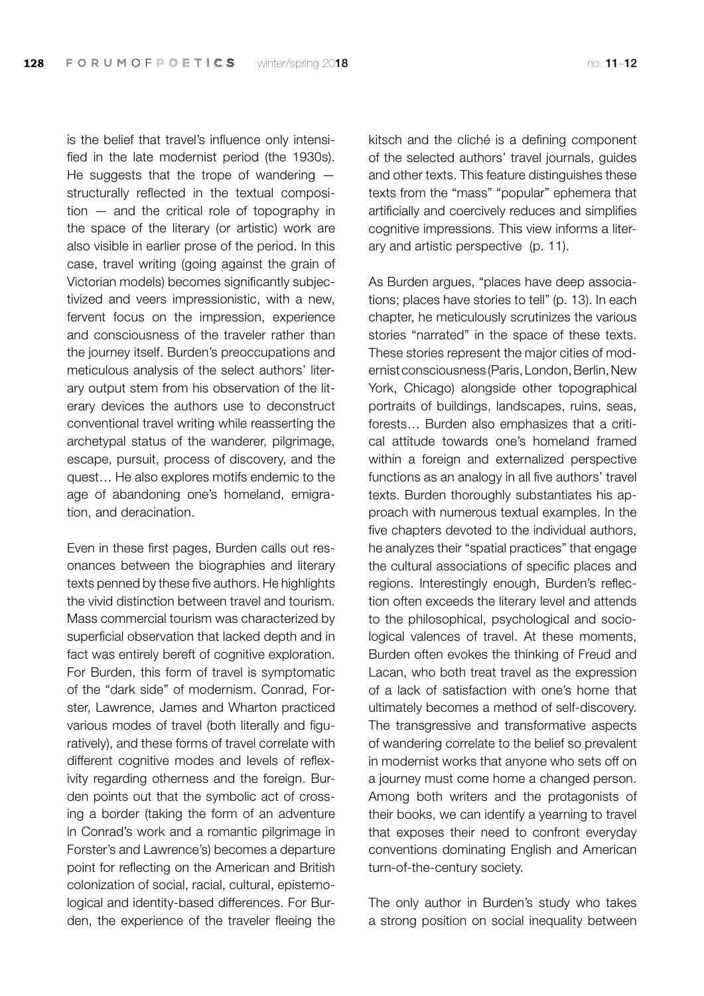is the belief that travel's influence only intensified in the late modernist period (the 1930s). He suggests that the trope of wandering structurally reflected in the textual composition — and the critical role of topography in the space of the literary (or artistic) work are also visible in earlier prose of the period. In this case, travel writing (going against the grain of Victorian models) becomes significantly subjectivized and veers impressionistic, with a new, fervent focus on the impression, experience and consciousness of the traveler rather than the journey itself. Burden's preoccupations and meticulous analysis of the select authors' literary output stem from his observation of the literary devices the authors use to deconstruct conventional travel writing while reasserting the archetypal status of the wanderer, pilgrimage, escape, pursuit, process of discovery, and the quest… He also explores motifs endemic to the age of abandoning one's homeland, emigration, and deracination.

Even in these first pages, Burden calls out resonances between the biographies and literary texts penned by these five authors. He highlights the vivid distinction between travel and tourism. Mass commercial tourism was characterized by superficial observation that lacked depth and in fact was entirely bereft of cognitive exploration. For Burden, this form of travel is symptomatic of the "dark side" of modernism. Conrad, Forster, Lawrence, James and Wharton practiced various modes of travel (both literally and figuratively), and these forms of travel correlate with different cognitive modes and levels of reflexivity regarding otherness and the foreign. Burden points out that the symbolic act of crossing a border (taking the form of an adventure in Conrad's work and a romantic pilgrimage in Forster's and Lawrence's) becomes a departure point for reflecting on the American and British colonization of social, racial, cultural, epistemological and identity-based differences. For Burden, the experience of the traveler fleeing the kitsch and the cliché is a defining component of the selected authors' travel journals, guides and other texts. This feature distinguishes these texts from the "mass" "popular" ephemera that artificially and coercively reduces and simplifies cognitive impressions. This view informs a literary and artistic perspective (p. 11).

As Burden argues, "places have deep associations; places have stories to tell" (p. 13). In each chapter, he meticulously scrutinizes the various stories "narrated" in the space of these texts. These stories represent the major cities of modernist consciousness (Paris, London, Berlin, New York, Chicago) alongside other topographical portraits of buildings, landscapes, ruins, seas, forests… Burden also emphasizes that a critical attitude towards one's homeland framed within a foreign and externalized perspective functions as an analogy in all five authors' travel texts. Burden thoroughly substantiates his approach with numerous textual examples. In the five chapters devoted to the individual authors, he analyzes their "spatial practices" that engage the cultural associations of specific places and regions. Interestingly enough, Burden's reflection often exceeds the literary level and attends to the philosophical, psychological and sociological valences of travel. At these moments, Burden often evokes the thinking of Freud and Lacan, who both treat travel as the expression of a lack of satisfaction with one's home that ultimately becomes a method of self-discovery. The transgressive and transformative aspects of wandering correlate to the belief so prevalent in modernist works that anyone who sets off on a journey must come home a changed person. Among both writers and the protagonists of their books, we can identify a yearning to travel that exposes their need to confront everyday conventions dominating English and American turn-of-the-century society.

The only author in Burden's study who takes a strong position on social inequality between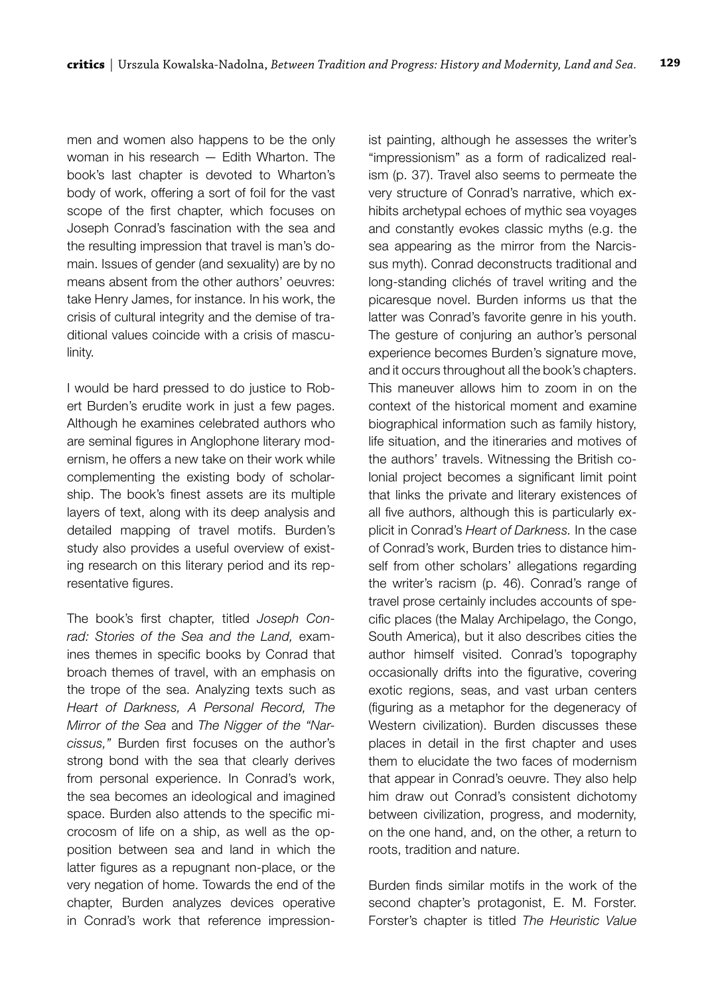men and women also happens to be the only woman in his research — Edith Wharton. The book's last chapter is devoted to Wharton's body of work, offering a sort of foil for the vast scope of the first chapter, which focuses on Joseph Conrad's fascination with the sea and the resulting impression that travel is man's domain. Issues of gender (and sexuality) are by no means absent from the other authors' oeuvres: take Henry James, for instance. In his work, the crisis of cultural integrity and the demise of traditional values coincide with a crisis of masculinity.

I would be hard pressed to do justice to Robert Burden's erudite work in just a few pages. Although he examines celebrated authors who are seminal figures in Anglophone literary modernism, he offers a new take on their work while complementing the existing body of scholarship. The book's finest assets are its multiple layers of text, along with its deep analysis and detailed mapping of travel motifs. Burden's study also provides a useful overview of existing research on this literary period and its representative figures.

The book's first chapter, titled *Joseph Conrad: Stories of the Sea and the Land,* examines themes in specific books by Conrad that broach themes of travel, with an emphasis on the trope of the sea. Analyzing texts such as *Heart of Darkness, A Personal Record, The Mirror of the Sea* and *The Nigger of the "Narcissus,"* Burden first focuses on the author's strong bond with the sea that clearly derives from personal experience. In Conrad's work, the sea becomes an ideological and imagined space. Burden also attends to the specific microcosm of life on a ship, as well as the opposition between sea and land in which the latter figures as a repugnant non-place, or the very negation of home. Towards the end of the chapter, Burden analyzes devices operative in Conrad's work that reference impressionist painting, although he assesses the writer's "impressionism" as a form of radicalized realism (p. 37). Travel also seems to permeate the very structure of Conrad's narrative, which exhibits archetypal echoes of mythic sea voyages and constantly evokes classic myths (e.g. the sea appearing as the mirror from the Narcissus myth). Conrad deconstructs traditional and long-standing clichés of travel writing and the picaresque novel. Burden informs us that the latter was Conrad's favorite genre in his youth. The gesture of conjuring an author's personal experience becomes Burden's signature move, and it occurs throughout all the book's chapters. This maneuver allows him to zoom in on the context of the historical moment and examine biographical information such as family history, life situation, and the itineraries and motives of the authors' travels. Witnessing the British colonial project becomes a significant limit point that links the private and literary existences of all five authors, although this is particularly explicit in Conrad's *Heart of Darkness.* In the case of Conrad's work, Burden tries to distance himself from other scholars' allegations regarding the writer's racism (p. 46). Conrad's range of travel prose certainly includes accounts of specific places (the Malay Archipelago, the Congo, South America), but it also describes cities the author himself visited. Conrad's topography occasionally drifts into the figurative, covering exotic regions, seas, and vast urban centers (figuring as a metaphor for the degeneracy of Western civilization). Burden discusses these places in detail in the first chapter and uses them to elucidate the two faces of modernism that appear in Conrad's oeuvre. They also help him draw out Conrad's consistent dichotomy between civilization, progress, and modernity, on the one hand, and, on the other, a return to roots, tradition and nature.

Burden finds similar motifs in the work of the second chapter's protagonist, E. M. Forster. Forster's chapter is titled *The Heuristic Value*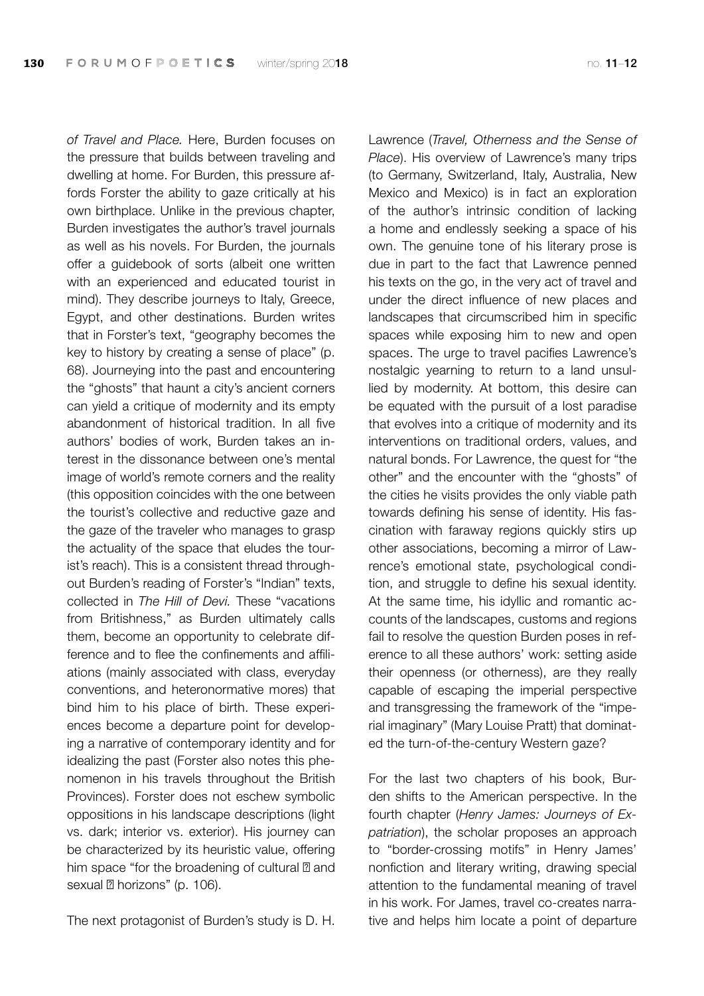*of Travel and Place.* Here, Burden focuses on the pressure that builds between traveling and dwelling at home. For Burden, this pressure affords Forster the ability to gaze critically at his own birthplace. Unlike in the previous chapter, Burden investigates the author's travel journals as well as his novels. For Burden, the journals offer a guidebook of sorts (albeit one written with an experienced and educated tourist in mind). They describe journeys to Italy, Greece, Egypt, and other destinations. Burden writes that in Forster's text, "geography becomes the key to history by creating a sense of place" (p. 68). Journeying into the past and encountering the "ghosts" that haunt a city's ancient corners can yield a critique of modernity and its empty abandonment of historical tradition. In all five authors' bodies of work, Burden takes an interest in the dissonance between one's mental image of world's remote corners and the reality (this opposition coincides with the one between the tourist's collective and reductive gaze and the gaze of the traveler who manages to grasp the actuality of the space that eludes the tourist's reach). This is a consistent thread throughout Burden's reading of Forster's "Indian" texts, collected in *The Hill of Devi.* These "vacations from Britishness," as Burden ultimately calls them, become an opportunity to celebrate difference and to flee the confinements and affiliations (mainly associated with class, everyday conventions, and heteronormative mores) that bind him to his place of birth. These experiences become a departure point for developing a narrative of contemporary identity and for idealizing the past (Forster also notes this phenomenon in his travels throughout the British Provinces). Forster does not eschew symbolic oppositions in his landscape descriptions (light vs. dark; interior vs. exterior). His journey can be characterized by its heuristic value, offering him space "for the broadening of cultural and sexual horizons" (p. 106).

The next protagonist of Burden's study is D. H.

Lawrence (*Travel, Otherness and the Sense of Place*). His overview of Lawrence's many trips (to Germany, Switzerland, Italy, Australia, New Mexico and Mexico) is in fact an exploration of the author's intrinsic condition of lacking a home and endlessly seeking a space of his own. The genuine tone of his literary prose is due in part to the fact that Lawrence penned his texts on the go, in the very act of travel and under the direct influence of new places and landscapes that circumscribed him in specific spaces while exposing him to new and open spaces. The urge to travel pacifies Lawrence's nostalgic yearning to return to a land unsullied by modernity. At bottom, this desire can be equated with the pursuit of a lost paradise that evolves into a critique of modernity and its interventions on traditional orders, values, and natural bonds. For Lawrence, the quest for "the other" and the encounter with the "ghosts" of the cities he visits provides the only viable path towards defining his sense of identity. His fascination with faraway regions quickly stirs up other associations, becoming a mirror of Lawrence's emotional state, psychological condition, and struggle to define his sexual identity. At the same time, his idyllic and romantic accounts of the landscapes, customs and regions fail to resolve the question Burden poses in reference to all these authors' work: setting aside their openness (or otherness), are they really capable of escaping the imperial perspective and transgressing the framework of the "imperial imaginary" (Mary Louise Pratt) that dominated the turn-of-the-century Western gaze?

For the last two chapters of his book, Burden shifts to the American perspective. In the fourth chapter (*Henry James: Journeys of Expatriation*), the scholar proposes an approach to "border-crossing motifs" in Henry James' nonfiction and literary writing, drawing special attention to the fundamental meaning of travel in his work. For James, travel co-creates narrative and helps him locate a point of departure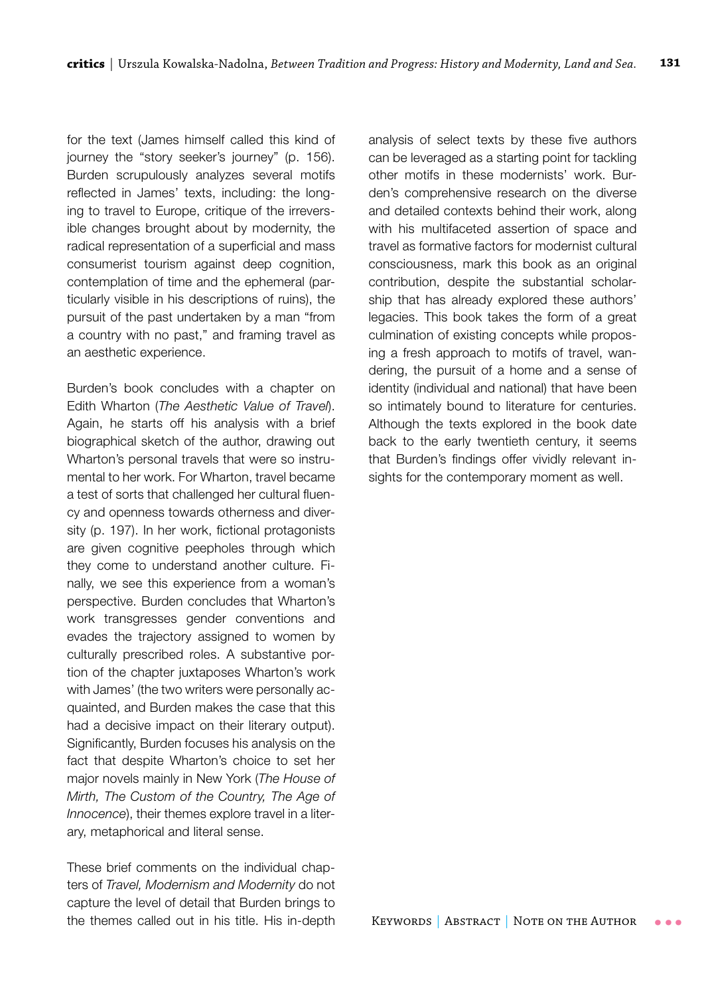for the text (James himself called this kind of journey the "story seeker's journey" (p. 156). Burden scrupulously analyzes several motifs reflected in James' texts, including: the longing to travel to Europe, critique of the irreversible changes brought about by modernity, the radical representation of a superficial and mass consumerist tourism against deep cognition, contemplation of time and the ephemeral (particularly visible in his descriptions of ruins), the pursuit of the past undertaken by a man "from a country with no past," and framing travel as an aesthetic experience.

Burden's book concludes with a chapter on Edith Wharton (*The Aesthetic Value of Travel*). Again, he starts off his analysis with a brief biographical sketch of the author, drawing out Wharton's personal travels that were so instrumental to her work. For Wharton, travel became a test of sorts that challenged her cultural fluency and openness towards otherness and diversity (p. 197). In her work, fictional protagonists are given cognitive peepholes through which they come to understand another culture. Finally, we see this experience from a woman's perspective. Burden concludes that Wharton's work transgresses gender conventions and evades the trajectory assigned to women by culturally prescribed roles. A substantive portion of the chapter juxtaposes Wharton's work with James' (the two writers were personally acquainted, and Burden makes the case that this had a decisive impact on their literary output). Significantly, Burden focuses his analysis on the fact that despite Wharton's choice to set her major novels mainly in New York (*The House of Mirth, The Custom of the Country, The Age of Innocence*), their themes explore travel in a literary, metaphorical and literal sense.

These brief comments on the individual chapters of *Travel, Modernism and Modernity* do not capture the level of detail that Burden brings to the themes called out in his title. His in-depth analysis of select texts by these five authors can be leveraged as a starting point for tackling other motifs in these modernists' work. Burden's comprehensive research on the diverse and detailed contexts behind their work, along with his multifaceted assertion of space and travel as formative factors for modernist cultural consciousness, mark this book as an original contribution, despite the substantial scholarship that has already explored these authors' legacies. This book takes the form of a great culmination of existing concepts while proposing a fresh approach to motifs of travel, wandering, the pursuit of a home and a sense of identity (individual and national) that have been so intimately bound to literature for centuries. Although the texts explored in the book date back to the early twentieth century, it seems that Burden's findings offer vividly relevant insights for the contemporary moment as well.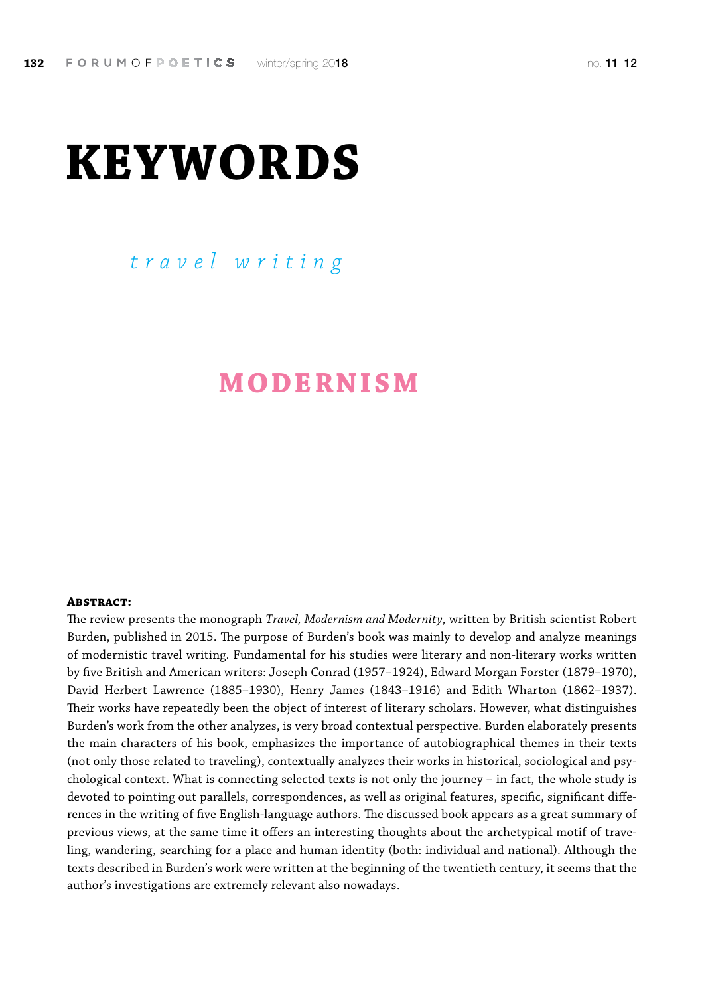# **KEYWORDS**

## *travel writing*

## **MODERNISM**

#### **Abstract:**

The review presents the monograph *Travel, Modernism and Modernity*, written by British scientist Robert Burden, published in 2015. The purpose of Burden's book was mainly to develop and analyze meanings of modernistic travel writing. Fundamental for his studies were literary and non-literary works written by five British and American writers: Joseph Conrad (1957–1924), Edward Morgan Forster (1879–1970), David Herbert Lawrence (1885–1930), Henry James (1843–1916) and Edith Wharton (1862–1937). Their works have repeatedly been the object of interest of literary scholars. However, what distinguishes Burden's work from the other analyzes, is very broad contextual perspective. Burden elaborately presents the main characters of his book, emphasizes the importance of autobiographical themes in their texts (not only those related to traveling), contextually analyzes their works in historical, sociological and psychological context. What is connecting selected texts is not only the journey – in fact, the whole study is devoted to pointing out parallels, correspondences, as well as original features, specific, significant differences in the writing of five English-language authors. The discussed book appears as a great summary of previous views, at the same time it offers an interesting thoughts about the archetypical motif of traveling, wandering, searching for a place and human identity (both: individual and national). Although the texts described in Burden's work were written at the beginning of the twentieth century, it seems that the author's investigations are extremely relevant also nowadays.